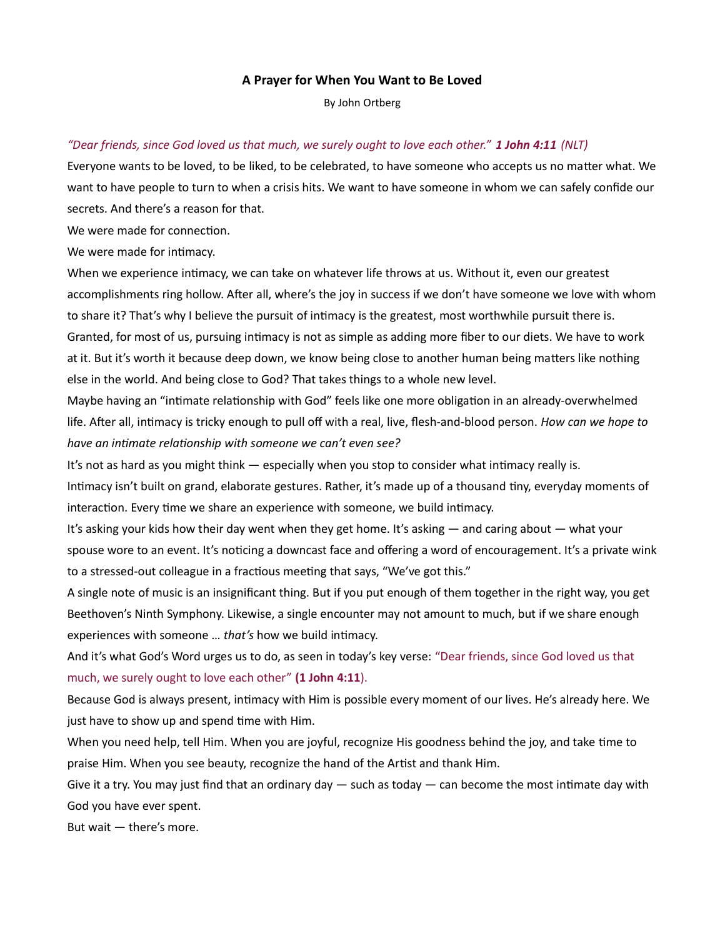## A Prayer for When You Want to Be Loved

By John Ortberg

## "Dear friends, since God loved us that much, we surely ought to love each other." 1 John 4:11 (NLT)

Everyone wants to be loved, to be liked, to be celebrated, to have someone who accepts us no matter what. We want to have people to turn to when a crisis hits. We want to have someone in whom we can safely confide our secrets. And there's a reason for that.

We were made for connection.

We were made for intimacy.

When we experience intimacy, we can take on whatever life throws at us. Without it, even our greatest accomplishments ring hollow. After all, where's the joy in success if we don't have someone we love with whom to share it? That's why I believe the pursuit of intimacy is the greatest, most worthwhile pursuit there is. Granted, for most of us, pursuing intimacy is not as simple as adding more fiber to our diets. We have to work at it. But it's worth it because deep down, we know being close to another human being matters like nothing else in the world. And being close to God? That takes things to a whole new level.

Maybe having an "intimate relationship with God" feels like one more obligation in an already-overwhelmed life. After all, intimacy is tricky enough to pull off with a real, live, flesh-and-blood person. How can we hope to have an intimate relationship with someone we can't even see?

It's not as hard as you might think — especially when you stop to consider what intimacy really is.

Intimacy isn't built on grand, elaborate gestures. Rather, it's made up of a thousand tiny, everyday moments of interaction. Every time we share an experience with someone, we build intimacy.

It's asking your kids how their day went when they get home. It's asking — and caring about — what your spouse wore to an event. It's noticing a downcast face and offering a word of encouragement. It's a private wink to a stressed-out colleague in a fractious meeting that says, "We've got this."

A single note of music is an insignificant thing. But if you put enough of them together in the right way, you get Beethoven's Ninth Symphony. Likewise, a single encounter may not amount to much, but if we share enough experiences with someone ... that's how we build intimacy.

And it's what God's Word urges us to do, as seen in today's key verse: "Dear friends, since God loved us that much, we surely ought to love each other" (1 John 4:11).

Because God is always present, intimacy with Him is possible every moment of our lives. He's already here. We just have to show up and spend time with Him.

When you need help, tell Him. When you are joyful, recognize His goodness behind the joy, and take time to praise Him. When you see beauty, recognize the hand of the Artist and thank Him.

Give it a try. You may just find that an ordinary day  $-$  such as today  $-$  can become the most intimate day with God you have ever spent.

But wait — there's more.